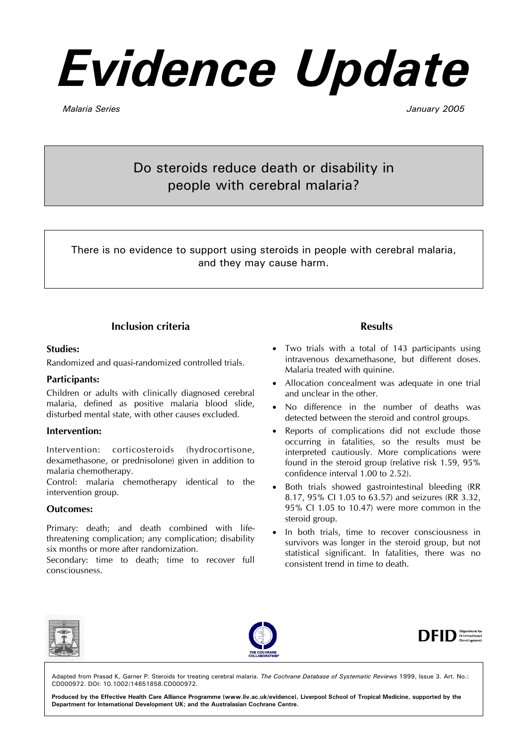# *Evidence Update*

*Malaria Series January 2005* 

Do steroids reduce death or disability in people with cerebral malaria?

There is no evidence to support using steroids in people with cerebral malaria, and they may cause harm.

# **Inclusion criteria**

#### **Studies:**

Randomized and quasi-randomized controlled trials.

#### **Participants:**

Children or adults with clinically diagnosed cerebral malaria, defined as positive malaria blood slide, disturbed mental state, with other causes excluded.

#### **Intervention:**

Intervention: corticosteroids (hydrocortisone, dexamethasone, or prednisolone) given in addition to malaria chemotherapy.

Control: malaria chemotherapy identical to the intervention group.

#### **Outcomes:**

Primary: death; and death combined with lifethreatening complication; any complication; disability six months or more after randomization.

Secondary: time to death; time to recover full consciousness.

### **Results**

- Two trials with a total of 143 participants using intravenous dexamethasone, but different doses. Malaria treated with quinine.
- Allocation concealment was adequate in one trial and unclear in the other.
- No difference in the number of deaths was detected between the steroid and control groups.
- Reports of complications did not exclude those occurring in fatalities, so the results must be interpreted cautiously. More complications were found in the steroid group (relative risk 1.59, 95% confidence interval 1.00 to 2.52).
- Both trials showed gastrointestinal bleeding (RR 8.17, 95% CI 1.05 to 63.57) and seizures (RR 3.32, 95% CI 1.05 to 10.47) were more common in the steroid group.
- In both trials, time to recover consciousness in survivors was longer in the steroid group, but not statistical significant. In fatalities, there was no consistent trend in time to death.







Adapted from Prasad K, Garner P. Steroids for treating cerebral malaria. *The Cochrane Database of Systematic Reviews* 1999, Issue 3. Art. No.: CD000972. DOI: 10.1002/14651858.CD000972.

**Produced by the Effective Health Care Alliance Programme (www.liv.ac.uk/evidence), Liverpool School of Tropical Medicine, supported by the Department for International Development UK; and the Australasian Cochrane Centre.**